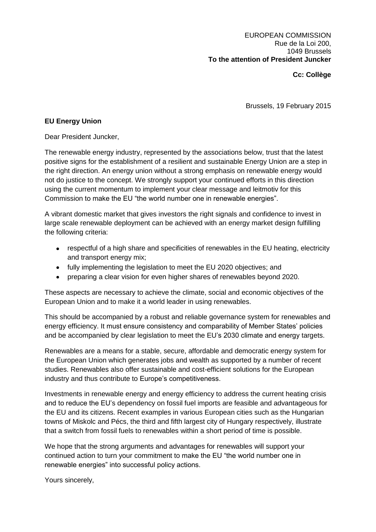## **Cc: Collège**

Brussels, 19 February 2015

## **EU Energy Union**

Dear President Juncker,

The renewable energy industry, represented by the associations below, trust that the latest positive signs for the establishment of a resilient and sustainable Energy Union are a step in the right direction. An energy union without a strong emphasis on renewable energy would not do justice to the concept. We strongly support your continued efforts in this direction using the current momentum to implement your clear message and leitmotiv for this Commission to make the EU "the world number one in renewable energies".

A vibrant domestic market that gives investors the right signals and confidence to invest in large scale renewable deployment can be achieved with an energy market design fulfilling the following criteria:

- respectful of a high share and specificities of renewables in the EU heating, electricity and transport energy mix;
- fully implementing the legislation to meet the EU 2020 objectives; and
- preparing a clear vision for even higher shares of renewables beyond 2020.

These aspects are necessary to achieve the climate, social and economic objectives of the European Union and to make it a world leader in using renewables.

This should be accompanied by a robust and reliable governance system for renewables and energy efficiency. It must ensure consistency and comparability of Member States' policies and be accompanied by clear legislation to meet the EU's 2030 climate and energy targets.

Renewables are a means for a stable, secure, affordable and democratic energy system for the European Union which generates jobs and wealth as supported by a number of recent studies. Renewables also offer sustainable and cost-efficient solutions for the European industry and thus contribute to Europe's competitiveness.

Investments in renewable energy and energy efficiency to address the current heating crisis and to reduce the EU's dependency on fossil fuel imports are feasible and advantageous for the EU and its citizens. Recent examples in various European cities such as the Hungarian towns of Miskolc and Pécs, the third and fifth largest city of Hungary respectively, illustrate that a switch from fossil fuels to renewables within a short period of time is possible.

We hope that the strong arguments and advantages for renewables will support your continued action to turn your commitment to make the EU "the world number one in renewable energies" into successful policy actions.

Yours sincerely,